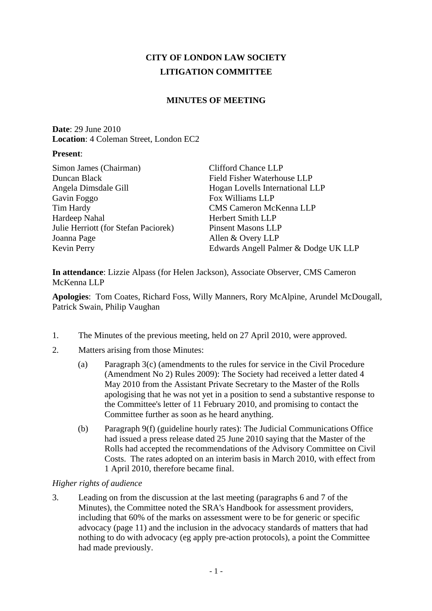# **CITY OF LONDON LAW SOCIETY LITIGATION COMMITTEE**

# **MINUTES OF MEETING**

**Date**: 29 June 2010 **Location**: 4 Coleman Street, London EC2

#### **Present**:

| Simon James (Chairman)               | <b>Clifford Chance LLP</b>           |
|--------------------------------------|--------------------------------------|
| Duncan Black                         | Field Fisher Waterhouse LLP          |
| Angela Dimsdale Gill                 | Hogan Lovells International LLP      |
| Gavin Foggo                          | Fox Williams LLP                     |
| Tim Hardy                            | <b>CMS Cameron McKenna LLP</b>       |
| Hardeep Nahal                        | Herbert Smith LLP                    |
| Julie Herriott (for Stefan Paciorek) | <b>Pinsent Masons LLP</b>            |
| Joanna Page                          | Allen & Overy LLP                    |
| Kevin Perry                          | Edwards Angell Palmer & Dodge UK LLP |
|                                      |                                      |

**In attendance**: Lizzie Alpass (for Helen Jackson), Associate Observer, CMS Cameron McKenna LLP

**Apologies**: Tom Coates, Richard Foss, Willy Manners, Rory McAlpine, Arundel McDougall, Patrick Swain, Philip Vaughan

- 1. The Minutes of the previous meeting, held on 27 April 2010, were approved.
- 2. Matters arising from those Minutes:
	- (a) Paragraph 3(c) (amendments to the rules for service in the Civil Procedure (Amendment No 2) Rules 2009): The Society had received a letter dated 4 May 2010 from the Assistant Private Secretary to the Master of the Rolls apologising that he was not yet in a position to send a substantive response to the Committee's letter of 11 February 2010, and promising to contact the Committee further as soon as he heard anything.
	- (b) Paragraph 9(f) (guideline hourly rates): The Judicial Communications Office had issued a press release dated 25 June 2010 saying that the Master of the Rolls had accepted the recommendations of the Advisory Committee on Civil Costs. The rates adopted on an interim basis in March 2010, with effect from 1 April 2010, therefore became final.

### *Higher rights of audience*

3. Leading on from the discussion at the last meeting (paragraphs 6 and 7 of the Minutes), the Committee noted the SRA's Handbook for assessment providers, including that 60% of the marks on assessment were to be for generic or specific advocacy (page 11) and the inclusion in the advocacy standards of matters that had nothing to do with advocacy (eg apply pre-action protocols), a point the Committee had made previously.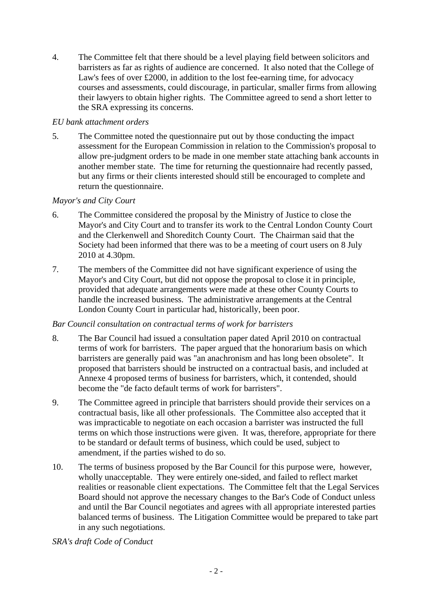4. The Committee felt that there should be a level playing field between solicitors and barristers as far as rights of audience are concerned. It also noted that the College of Law's fees of over £2000, in addition to the lost fee-earning time, for advocacy courses and assessments, could discourage, in particular, smaller firms from allowing their lawyers to obtain higher rights. The Committee agreed to send a short letter to the SRA expressing its concerns.

### *EU bank attachment orders*

5. The Committee noted the questionnaire put out by those conducting the impact assessment for the European Commission in relation to the Commission's proposal to allow pre-judgment orders to be made in one member state attaching bank accounts in another member state. The time for returning the questionnaire had recently passed, but any firms or their clients interested should still be encouraged to complete and return the questionnaire.

# *Mayor's and City Court*

- 6. The Committee considered the proposal by the Ministry of Justice to close the Mayor's and City Court and to transfer its work to the Central London County Court and the Clerkenwell and Shoreditch County Court. The Chairman said that the Society had been informed that there was to be a meeting of court users on 8 July 2010 at 4.30pm.
- 7. The members of the Committee did not have significant experience of using the Mayor's and City Court, but did not oppose the proposal to close it in principle, provided that adequate arrangements were made at these other County Courts to handle the increased business. The administrative arrangements at the Central London County Court in particular had, historically, been poor.

### *Bar Council consultation on contractual terms of work for barristers*

- 8. The Bar Council had issued a consultation paper dated April 2010 on contractual terms of work for barristers. The paper argued that the honorarium basis on which barristers are generally paid was "an anachronism and has long been obsolete". It proposed that barristers should be instructed on a contractual basis, and included at Annexe 4 proposed terms of business for barristers, which, it contended, should become the "de facto default terms of work for barristers".
- 9. The Committee agreed in principle that barristers should provide their services on a contractual basis, like all other professionals. The Committee also accepted that it was impracticable to negotiate on each occasion a barrister was instructed the full terms on which those instructions were given. It was, therefore, appropriate for there to be standard or default terms of business, which could be used, subject to amendment, if the parties wished to do so.
- 10. The terms of business proposed by the Bar Council for this purpose were, however, wholly unacceptable. They were entirely one-sided, and failed to reflect market realities or reasonable client expectations. The Committee felt that the Legal Services Board should not approve the necessary changes to the Bar's Code of Conduct unless and until the Bar Council negotiates and agrees with all appropriate interested parties balanced terms of business. The Litigation Committee would be prepared to take part in any such negotiations.

*SRA's draft Code of Conduct*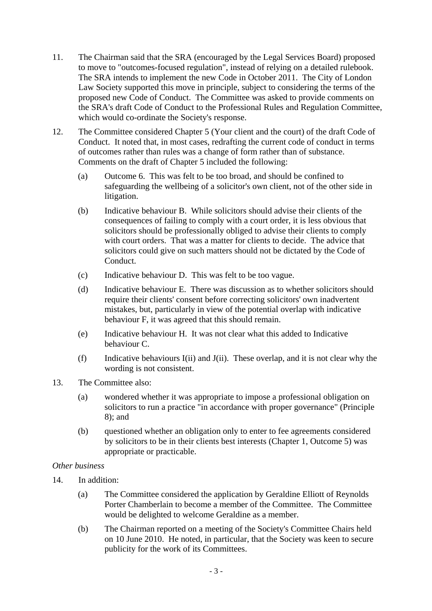- 11. The Chairman said that the SRA (encouraged by the Legal Services Board) proposed to move to "outcomes-focused regulation", instead of relying on a detailed rulebook. The SRA intends to implement the new Code in October 2011. The City of London Law Society supported this move in principle, subject to considering the terms of the proposed new Code of Conduct. The Committee was asked to provide comments on the SRA's draft Code of Conduct to the Professional Rules and Regulation Committee, which would co-ordinate the Society's response.
- 12. The Committee considered Chapter 5 (Your client and the court) of the draft Code of Conduct. It noted that, in most cases, redrafting the current code of conduct in terms of outcomes rather than rules was a change of form rather than of substance. Comments on the draft of Chapter 5 included the following:
	- (a) Outcome 6. This was felt to be too broad, and should be confined to safeguarding the wellbeing of a solicitor's own client, not of the other side in litigation.
	- (b) Indicative behaviour B. While solicitors should advise their clients of the consequences of failing to comply with a court order, it is less obvious that solicitors should be professionally obliged to advise their clients to comply with court orders. That was a matter for clients to decide. The advice that solicitors could give on such matters should not be dictated by the Code of Conduct.
	- (c) Indicative behaviour D. This was felt to be too vague.
	- (d) Indicative behaviour E. There was discussion as to whether solicitors should require their clients' consent before correcting solicitors' own inadvertent mistakes, but, particularly in view of the potential overlap with indicative behaviour F, it was agreed that this should remain.
	- (e) Indicative behaviour H. It was not clear what this added to Indicative behaviour C.
	- (f) Indicative behaviours I(ii) and J(ii). These overlap, and it is not clear why the wording is not consistent.
- 13. The Committee also:
	- (a) wondered whether it was appropriate to impose a professional obligation on solicitors to run a practice "in accordance with proper governance" (Principle 8); and
	- (b) questioned whether an obligation only to enter to fee agreements considered by solicitors to be in their clients best interests (Chapter 1, Outcome 5) was appropriate or practicable.

### *Other business*

- 14. In addition:
	- (a) The Committee considered the application by Geraldine Elliott of Reynolds Porter Chamberlain to become a member of the Committee. The Committee would be delighted to welcome Geraldine as a member.
	- (b) The Chairman reported on a meeting of the Society's Committee Chairs held on 10 June 2010. He noted, in particular, that the Society was keen to secure publicity for the work of its Committees.